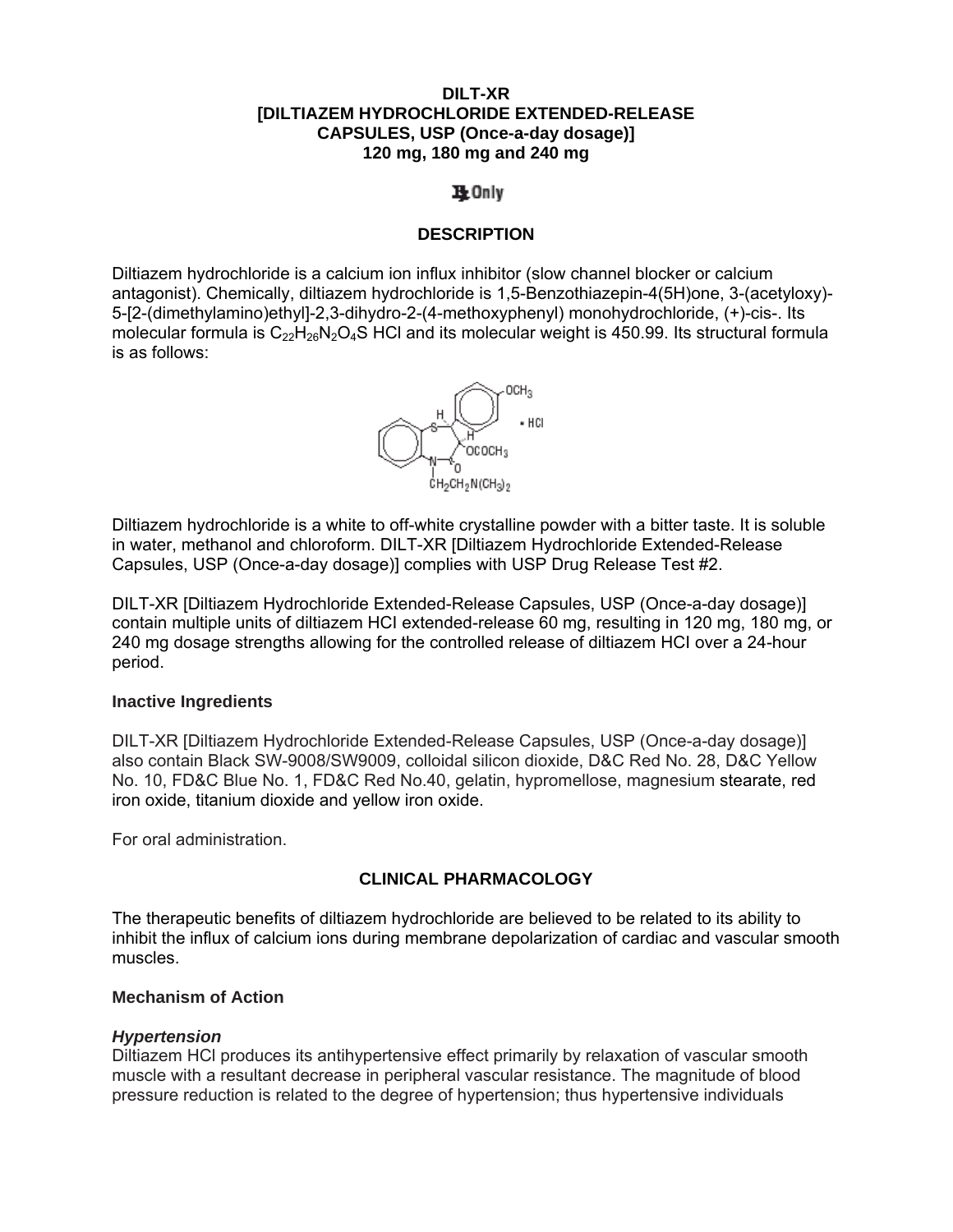### **DILT-XR [DILTIAZEM HYDROCHLORIDE EXTENDED-RELEASE CAPSULES, USP (Once-a-day dosage)] 120 mg, 180 mg and 240 mg**

# 1 Only

# **DESCRIPTION**

Diltiazem hydrochloride is a calcium ion influx inhibitor (slow channel blocker or calcium antagonist). Chemically, diltiazem hydrochloride is 1,5-Benzothiazepin-4(5H)one, 3-(acetyloxy)- 5-[2-(dimethylamino)ethyl]-2,3-dihydro-2-(4-methoxyphenyl) monohydrochloride, (+)-cis-. Its molecular formula is  $C_{22}H_{26}N_2O_4S$  HCl and its molecular weight is 450.99. Its structural formula is as follows:



Diltiazem hydrochloride is a white to off-white crystalline powder with a bitter taste. It is soluble in water, methanol and chloroform. DILT-XR [Diltiazem Hydrochloride Extended-Release Capsules, USP (Once-a-day dosage)] complies with USP Drug Release Test #2.

DILT-XR [Diltiazem Hydrochloride Extended-Release Capsules, USP (Once-a-day dosage)] contain multiple units of diltiazem HCI extended-release 60 mg, resulting in 120 mg, 180 mg, or 240 mg dosage strengths allowing for the controlled release of diltiazem HCI over a 24-hour period.

### **Inactive Ingredients**

DILT-XR [Diltiazem Hydrochloride Extended-Release Capsules, USP (Once-a-day dosage)] also contain Black SW-9008/SW9009, colloidal silicon dioxide, D&C Red No. 28, D&C Yellow No. 10, FD&C Blue No. 1, FD&C Red No.40, gelatin, hypromellose, magnesium stearate, red iron oxide, titanium dioxide and yellow iron oxide.

For oral administration.

### **CLINICAL PHARMACOLOGY**

The therapeutic benefits of diltiazem hydrochloride are believed to be related to its ability to inhibit the influx of calcium ions during membrane depolarization of cardiac and vascular smooth muscles.

### **Mechanism of Action**

### *Hypertension*

Diltiazem HCl produces its antihypertensive effect primarily by relaxation of vascular smooth muscle with a resultant decrease in peripheral vascular resistance. The magnitude of blood pressure reduction is related to the degree of hypertension; thus hypertensive individuals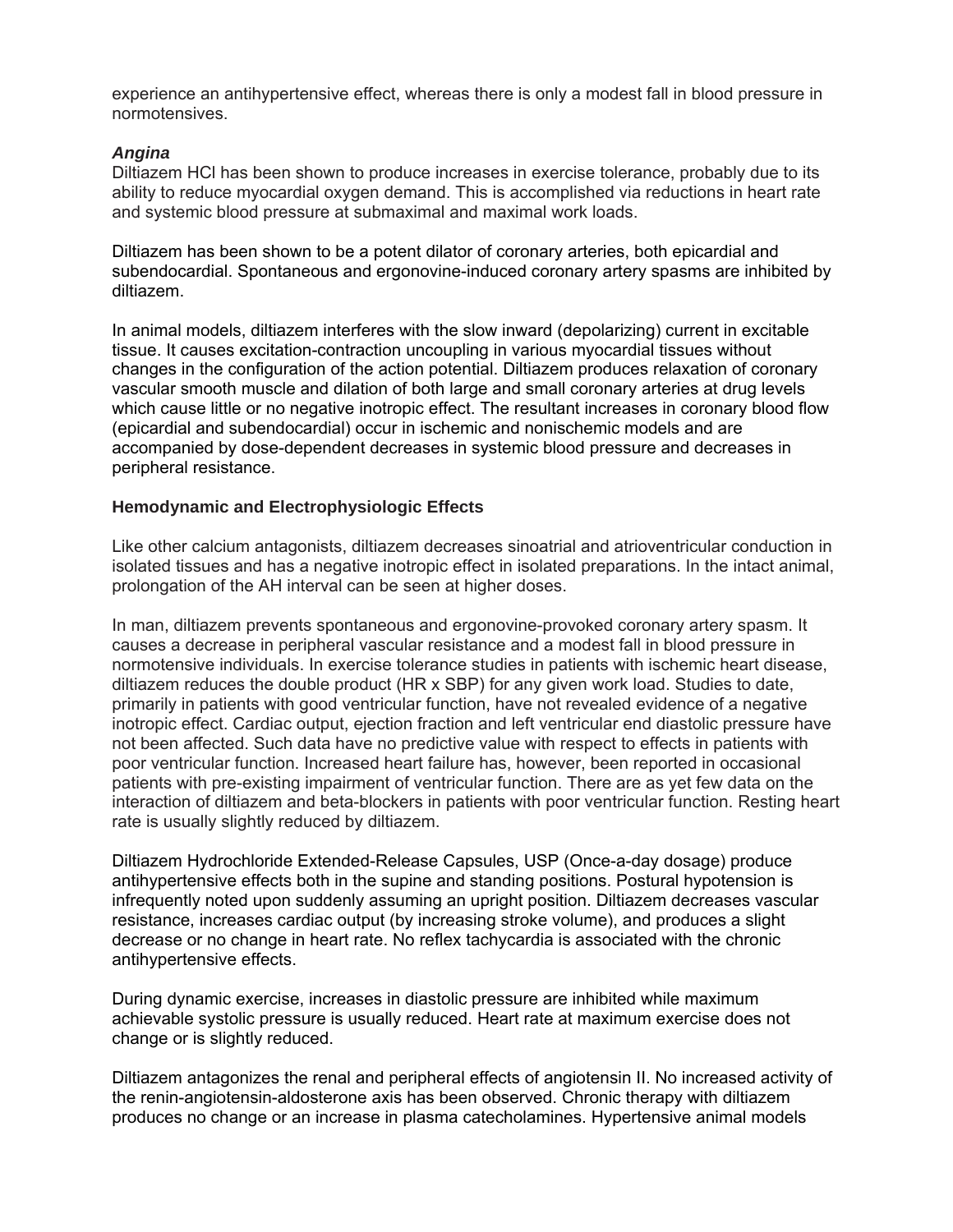experience an antihypertensive effect, whereas there is only a modest fall in blood pressure in normotensives.

# *Angina*

Diltiazem HCl has been shown to produce increases in exercise tolerance, probably due to its ability to reduce myocardial oxygen demand. This is accomplished via reductions in heart rate and systemic blood pressure at submaximal and maximal work loads.

Diltiazem has been shown to be a potent dilator of coronary arteries, both epicardial and subendocardial. Spontaneous and ergonovine-induced coronary artery spasms are inhibited by diltiazem.

In animal models, diltiazem interferes with the slow inward (depolarizing) current in excitable tissue. It causes excitation-contraction uncoupling in various myocardial tissues without changes in the configuration of the action potential. Diltiazem produces relaxation of coronary vascular smooth muscle and dilation of both large and small coronary arteries at drug levels which cause little or no negative inotropic effect. The resultant increases in coronary blood flow (epicardial and subendocardial) occur in ischemic and nonischemic models and are accompanied by dose-dependent decreases in systemic blood pressure and decreases in peripheral resistance.

# **Hemodynamic and Electrophysiologic Effects**

Like other calcium antagonists, diltiazem decreases sinoatrial and atrioventricular conduction in isolated tissues and has a negative inotropic effect in isolated preparations. In the intact animal, prolongation of the AH interval can be seen at higher doses.

In man, diltiazem prevents spontaneous and ergonovine-provoked coronary artery spasm. It causes a decrease in peripheral vascular resistance and a modest fall in blood pressure in normotensive individuals. In exercise tolerance studies in patients with ischemic heart disease, diltiazem reduces the double product (HR x SBP) for any given work load. Studies to date, primarily in patients with good ventricular function, have not revealed evidence of a negative inotropic effect. Cardiac output, ejection fraction and left ventricular end diastolic pressure have not been affected. Such data have no predictive value with respect to effects in patients with poor ventricular function. Increased heart failure has, however, been reported in occasional patients with pre-existing impairment of ventricular function. There are as yet few data on the interaction of diltiazem and beta-blockers in patients with poor ventricular function. Resting heart rate is usually slightly reduced by diltiazem.

Diltiazem Hydrochloride Extended-Release Capsules, USP (Once-a-day dosage) produce antihypertensive effects both in the supine and standing positions. Postural hypotension is infrequently noted upon suddenly assuming an upright position. Diltiazem decreases vascular resistance, increases cardiac output (by increasing stroke volume), and produces a slight decrease or no change in heart rate. No reflex tachycardia is associated with the chronic antihypertensive effects.

During dynamic exercise, increases in diastolic pressure are inhibited while maximum achievable systolic pressure is usually reduced. Heart rate at maximum exercise does not change or is slightly reduced.

Diltiazem antagonizes the renal and peripheral effects of angiotensin II. No increased activity of the renin-angiotensin-aldosterone axis has been observed. Chronic therapy with diltiazem produces no change or an increase in plasma catecholamines. Hypertensive animal models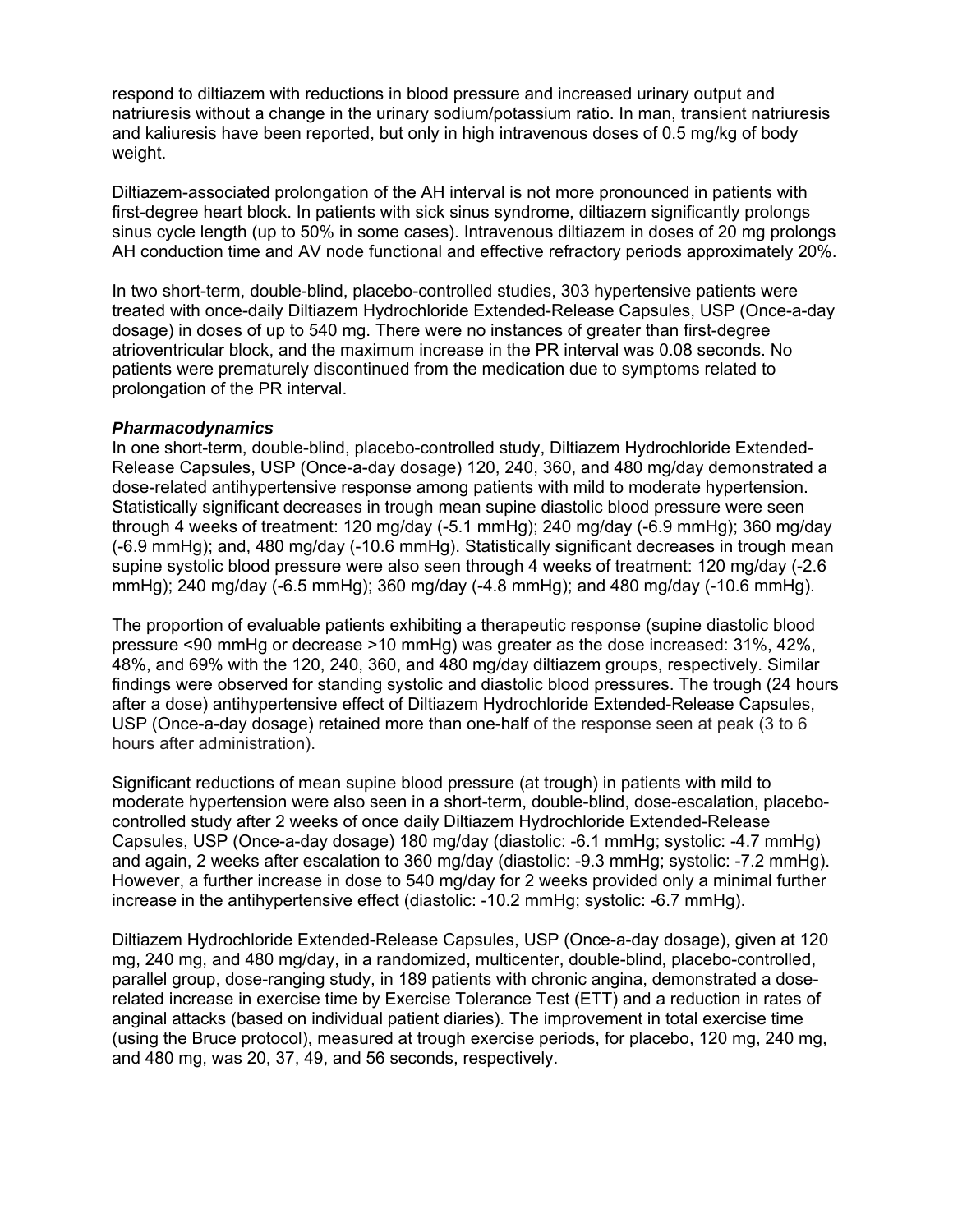respond to diltiazem with reductions in blood pressure and increased urinary output and natriuresis without a change in the urinary sodium/potassium ratio. In man, transient natriuresis and kaliuresis have been reported, but only in high intravenous doses of 0.5 mg/kg of body weight.

Diltiazem-associated prolongation of the AH interval is not more pronounced in patients with first-degree heart block. In patients with sick sinus syndrome, diltiazem significantly prolongs sinus cycle length (up to 50% in some cases). Intravenous diltiazem in doses of 20 mg prolongs AH conduction time and AV node functional and effective refractory periods approximately 20%.

In two short-term, double-blind, placebo-controlled studies, 303 hypertensive patients were treated with once-daily Diltiazem Hydrochloride Extended-Release Capsules, USP (Once-a-day dosage) in doses of up to 540 mg. There were no instances of greater than first-degree atrioventricular block, and the maximum increase in the PR interval was 0.08 seconds. No patients were prematurely discontinued from the medication due to symptoms related to prolongation of the PR interval.

### *Pharmacodynamics*

In one short-term, double-blind, placebo-controlled study, Diltiazem Hydrochloride Extended-Release Capsules, USP (Once-a-day dosage) 120, 240, 360, and 480 mg/day demonstrated a dose-related antihypertensive response among patients with mild to moderate hypertension. Statistically significant decreases in trough mean supine diastolic blood pressure were seen through 4 weeks of treatment: 120 mg/day (-5.1 mmHg); 240 mg/day (-6.9 mmHg); 360 mg/day (-6.9 mmHg); and, 480 mg/day (-10.6 mmHg). Statistically significant decreases in trough mean supine systolic blood pressure were also seen through 4 weeks of treatment: 120 mg/day (-2.6 mmHg); 240 mg/day (-6.5 mmHg); 360 mg/day (-4.8 mmHg); and 480 mg/day (-10.6 mmHg).

The proportion of evaluable patients exhibiting a therapeutic response (supine diastolic blood pressure <90 mmHg or decrease >10 mmHg) was greater as the dose increased: 31%, 42%, 48%, and 69% with the 120, 240, 360, and 480 mg/day diltiazem groups, respectively. Similar findings were observed for standing systolic and diastolic blood pressures. The trough (24 hours after a dose) antihypertensive effect of Diltiazem Hydrochloride Extended-Release Capsules, USP (Once-a-day dosage) retained more than one-half of the response seen at peak (3 to 6 hours after administration).

Significant reductions of mean supine blood pressure (at trough) in patients with mild to moderate hypertension were also seen in a short-term, double-blind, dose-escalation, placebocontrolled study after 2 weeks of once daily Diltiazem Hydrochloride Extended-Release Capsules, USP (Once-a-day dosage) 180 mg/day (diastolic: -6.1 mmHg; systolic: -4.7 mmHg) and again, 2 weeks after escalation to 360 mg/day (diastolic: -9.3 mmHg; systolic: -7.2 mmHg). However, a further increase in dose to 540 mg/day for 2 weeks provided only a minimal further increase in the antihypertensive effect (diastolic: -10.2 mmHg; systolic: -6.7 mmHg).

Diltiazem Hydrochloride Extended-Release Capsules, USP (Once-a-day dosage), given at 120 mg, 240 mg, and 480 mg/day, in a randomized, multicenter, double-blind, placebo-controlled, parallel group, dose-ranging study, in 189 patients with chronic angina, demonstrated a doserelated increase in exercise time by Exercise Tolerance Test (ETT) and a reduction in rates of anginal attacks (based on individual patient diaries). The improvement in total exercise time (using the Bruce protocol), measured at trough exercise periods, for placebo, 120 mg, 240 mg, and 480 mg, was 20, 37, 49, and 56 seconds, respectively.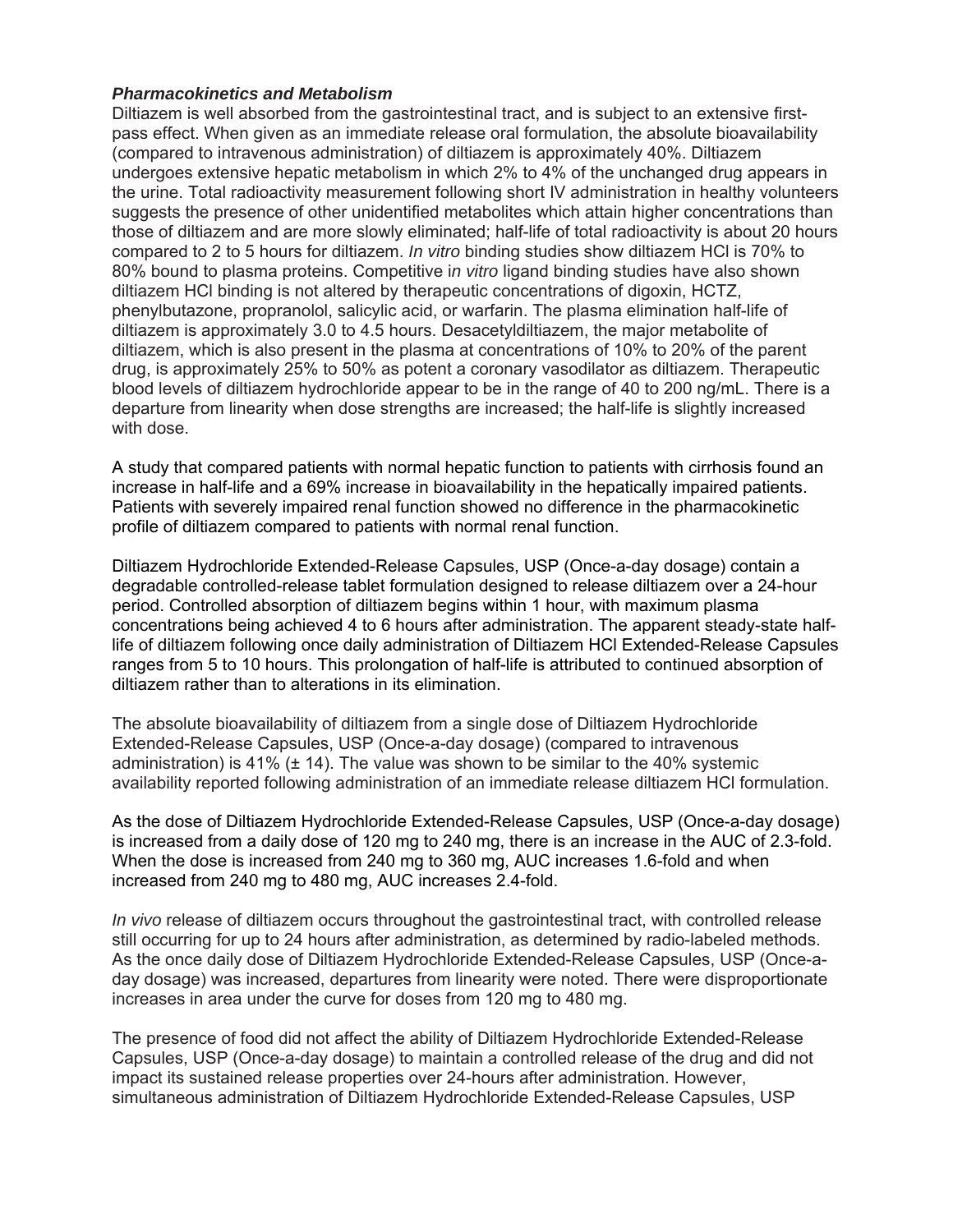# *Pharmacokinetics and Metabolism*

Diltiazem is well absorbed from the gastrointestinal tract, and is subject to an extensive firstpass effect. When given as an immediate release oral formulation, the absolute bioavailability (compared to intravenous administration) of diltiazem is approximately 40%. Diltiazem undergoes extensive hepatic metabolism in which 2% to 4% of the unchanged drug appears in the urine. Total radioactivity measurement following short IV administration in healthy volunteers suggests the presence of other unidentified metabolites which attain higher concentrations than those of diltiazem and are more slowly eliminated; half-life of total radioactivity is about 20 hours compared to 2 to 5 hours for diltiazem. *In vitro* binding studies show diltiazem HCl is 70% to 80% bound to plasma proteins. Competitive i*n vitro* ligand binding studies have also shown diltiazem HCl binding is not altered by therapeutic concentrations of digoxin, HCTZ, phenylbutazone, propranolol, salicylic acid, or warfarin. The plasma elimination half-life of diltiazem is approximately 3.0 to 4.5 hours. Desacetyldiltiazem, the major metabolite of diltiazem, which is also present in the plasma at concentrations of 10% to 20% of the parent drug, is approximately 25% to 50% as potent a coronary vasodilator as diltiazem. Therapeutic blood levels of diltiazem hydrochloride appear to be in the range of 40 to 200 ng/mL. There is a departure from linearity when dose strengths are increased; the half-life is slightly increased with dose.

A study that compared patients with normal hepatic function to patients with cirrhosis found an increase in half-life and a 69% increase in bioavailability in the hepatically impaired patients. Patients with severely impaired renal function showed no difference in the pharmacokinetic profile of diltiazem compared to patients with normal renal function.

Diltiazem Hydrochloride Extended-Release Capsules, USP (Once-a-day dosage) contain a degradable controlled-release tablet formulation designed to release diltiazem over a 24-hour period. Controlled absorption of diltiazem begins within 1 hour, with maximum plasma concentrations being achieved 4 to 6 hours after administration. The apparent steady-state halflife of diltiazem following once daily administration of Diltiazem HCl Extended-Release Capsules ranges from 5 to 10 hours. This prolongation of half-life is attributed to continued absorption of diltiazem rather than to alterations in its elimination.

The absolute bioavailability of diltiazem from a single dose of Diltiazem Hydrochloride Extended-Release Capsules, USP (Once-a-day dosage) (compared to intravenous administration) is 41%  $(\pm 14)$ . The value was shown to be similar to the 40% systemic availability reported following administration of an immediate release diltiazem HCl formulation.

As the dose of Diltiazem Hydrochloride Extended-Release Capsules, USP (Once-a-day dosage) is increased from a daily dose of 120 mg to 240 mg, there is an increase in the AUC of 2.3-fold. When the dose is increased from 240 mg to 360 mg, AUC increases 1.6-fold and when increased from 240 mg to 480 mg, AUC increases 2.4-fold.

*In vivo* release of diltiazem occurs throughout the gastrointestinal tract, with controlled release still occurring for up to 24 hours after administration, as determined by radio-labeled methods. As the once daily dose of Diltiazem Hydrochloride Extended-Release Capsules, USP (Once-aday dosage) was increased, departures from linearity were noted. There were disproportionate increases in area under the curve for doses from 120 mg to 480 mg.

The presence of food did not affect the ability of Diltiazem Hydrochloride Extended-Release Capsules, USP (Once-a-day dosage) to maintain a controlled release of the drug and did not impact its sustained release properties over 24-hours after administration. However, simultaneous administration of Diltiazem Hydrochloride Extended-Release Capsules, USP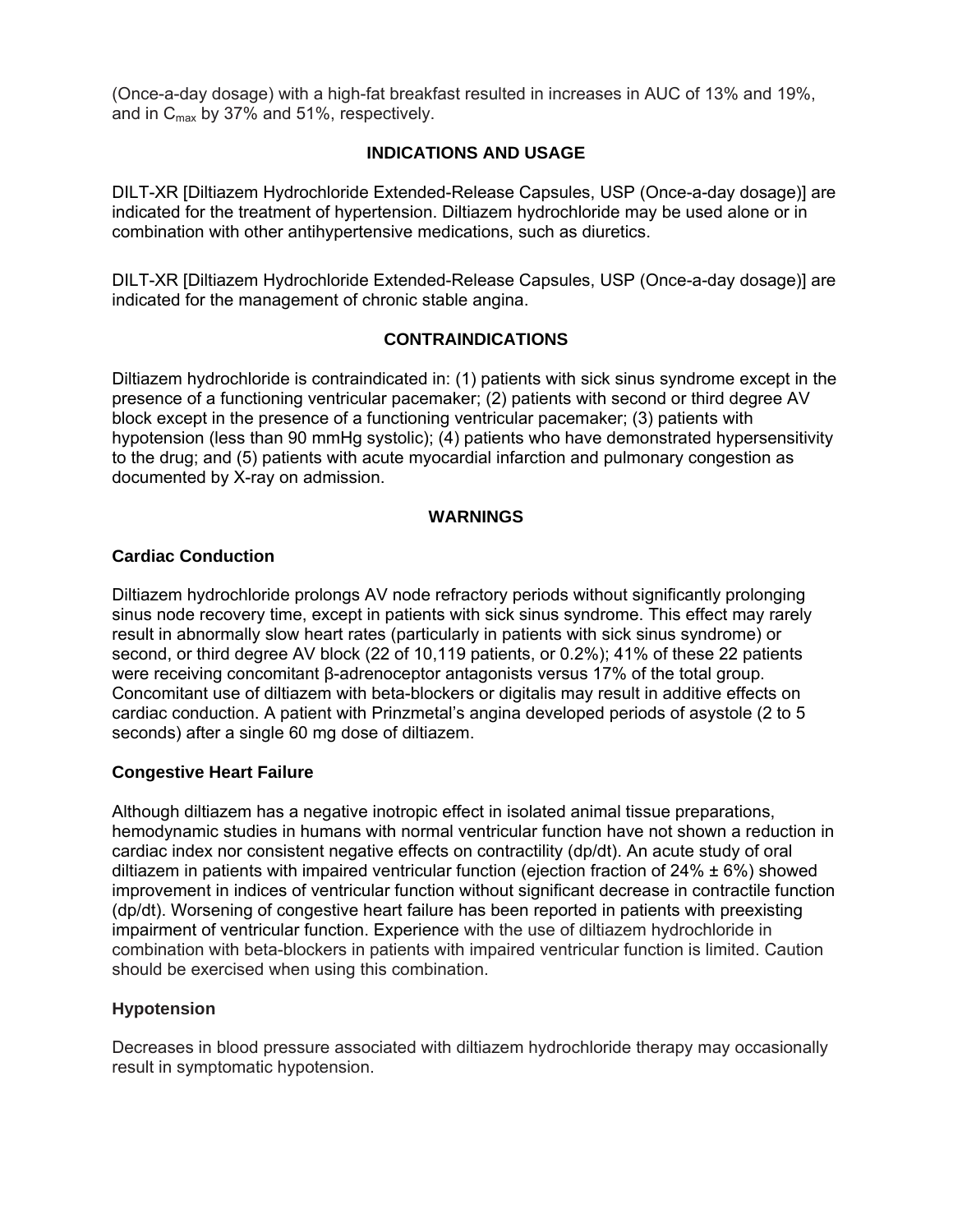(Once-a-day dosage) with a high-fat breakfast resulted in increases in AUC of 13% and 19%, and in  $C_{\text{max}}$  by 37% and 51%, respectively.

# **INDICATIONS AND USAGE**

DILT-XR [Diltiazem Hydrochloride Extended-Release Capsules, USP (Once-a-day dosage)] are indicated for the treatment of hypertension. Diltiazem hydrochloride may be used alone or in combination with other antihypertensive medications, such as diuretics.

DILT-XR [Diltiazem Hydrochloride Extended-Release Capsules, USP (Once-a-day dosage)] are indicated for the management of chronic stable angina.

# **CONTRAINDICATIONS**

Diltiazem hydrochloride is contraindicated in: (1) patients with sick sinus syndrome except in the presence of a functioning ventricular pacemaker; (2) patients with second or third degree AV block except in the presence of a functioning ventricular pacemaker; (3) patients with hypotension (less than 90 mmHg systolic); (4) patients who have demonstrated hypersensitivity to the drug; and (5) patients with acute myocardial infarction and pulmonary congestion as documented by X-ray on admission.

### **WARNINGS**

# **Cardiac Conduction**

Diltiazem hydrochloride prolongs AV node refractory periods without significantly prolonging sinus node recovery time, except in patients with sick sinus syndrome. This effect may rarely result in abnormally slow heart rates (particularly in patients with sick sinus syndrome) or second, or third degree AV block (22 of 10,119 patients, or 0.2%); 41% of these 22 patients were receiving concomitant β-adrenoceptor antagonists versus 17% of the total group. Concomitant use of diltiazem with beta-blockers or digitalis may result in additive effects on cardiac conduction. A patient with Prinzmetal's angina developed periods of asystole (2 to 5 seconds) after a single 60 mg dose of diltiazem.

### **Congestive Heart Failure**

Although diltiazem has a negative inotropic effect in isolated animal tissue preparations, hemodynamic studies in humans with normal ventricular function have not shown a reduction in cardiac index nor consistent negative effects on contractility (dp/dt). An acute study of oral diltiazem in patients with impaired ventricular function (ejection fraction of 24%  $\pm$  6%) showed improvement in indices of ventricular function without significant decrease in contractile function (dp/dt). Worsening of congestive heart failure has been reported in patients with preexisting impairment of ventricular function. Experience with the use of diltiazem hydrochloride in combination with beta-blockers in patients with impaired ventricular function is limited. Caution should be exercised when using this combination.

### **Hypotension**

Decreases in blood pressure associated with diltiazem hydrochloride therapy may occasionally result in symptomatic hypotension.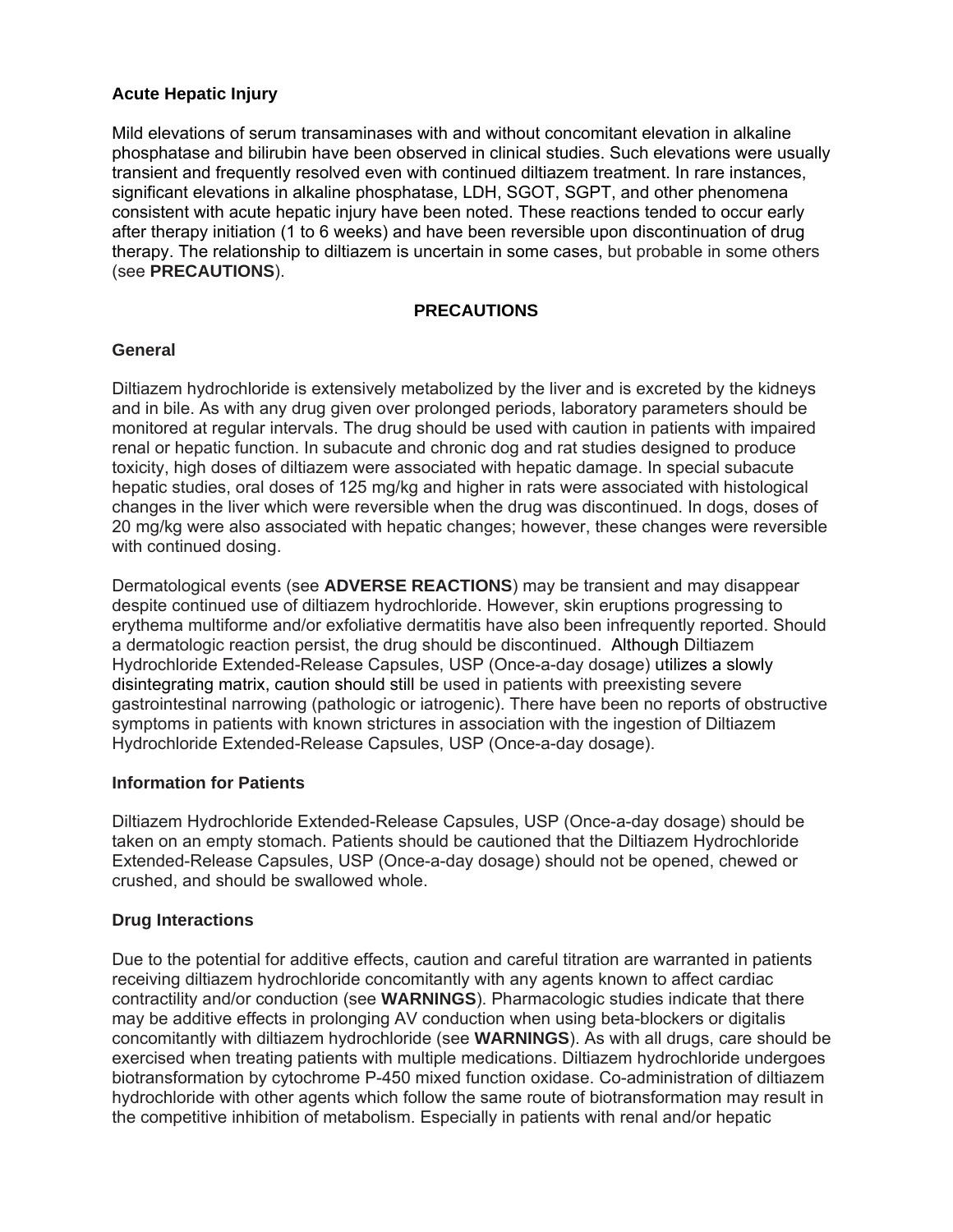# **Acute Hepatic Injury**

Mild elevations of serum transaminases with and without concomitant elevation in alkaline phosphatase and bilirubin have been observed in clinical studies. Such elevations were usually transient and frequently resolved even with continued diltiazem treatment. In rare instances, significant elevations in alkaline phosphatase, LDH, SGOT, SGPT, and other phenomena consistent with acute hepatic injury have been noted. These reactions tended to occur early after therapy initiation (1 to 6 weeks) and have been reversible upon discontinuation of drug therapy. The relationship to diltiazem is uncertain in some cases, but probable in some others (see **PRECAUTIONS**).

# **PRECAUTIONS**

# **General**

Diltiazem hydrochloride is extensively metabolized by the liver and is excreted by the kidneys and in bile. As with any drug given over prolonged periods, laboratory parameters should be monitored at regular intervals. The drug should be used with caution in patients with impaired renal or hepatic function. In subacute and chronic dog and rat studies designed to produce toxicity, high doses of diltiazem were associated with hepatic damage. In special subacute hepatic studies, oral doses of 125 mg/kg and higher in rats were associated with histological changes in the liver which were reversible when the drug was discontinued. In dogs, doses of 20 mg/kg were also associated with hepatic changes; however, these changes were reversible with continued dosing.

Dermatological events (see **ADVERSE REACTIONS**) may be transient and may disappear despite continued use of diltiazem hydrochloride. However, skin eruptions progressing to erythema multiforme and/or exfoliative dermatitis have also been infrequently reported. Should a dermatologic reaction persist, the drug should be discontinued. Although Diltiazem Hydrochloride Extended-Release Capsules, USP (Once-a-day dosage) utilizes a slowly disintegrating matrix, caution should still be used in patients with preexisting severe gastrointestinal narrowing (pathologic or iatrogenic). There have been no reports of obstructive symptoms in patients with known strictures in association with the ingestion of Diltiazem Hydrochloride Extended-Release Capsules, USP (Once-a-day dosage).

# **Information for Patients**

Diltiazem Hydrochloride Extended-Release Capsules, USP (Once-a-day dosage) should be taken on an empty stomach. Patients should be cautioned that the Diltiazem Hydrochloride Extended-Release Capsules, USP (Once-a-day dosage) should not be opened, chewed or crushed, and should be swallowed whole.

# **Drug Interactions**

Due to the potential for additive effects, caution and careful titration are warranted in patients receiving diltiazem hydrochloride concomitantly with any agents known to affect cardiac contractility and/or conduction (see **WARNINGS**). Pharmacologic studies indicate that there may be additive effects in prolonging AV conduction when using beta-blockers or digitalis concomitantly with diltiazem hydrochloride (see **WARNINGS**). As with all drugs, care should be exercised when treating patients with multiple medications. Diltiazem hydrochloride undergoes biotransformation by cytochrome P-450 mixed function oxidase. Co-administration of diltiazem hydrochloride with other agents which follow the same route of biotransformation may result in the competitive inhibition of metabolism. Especially in patients with renal and/or hepatic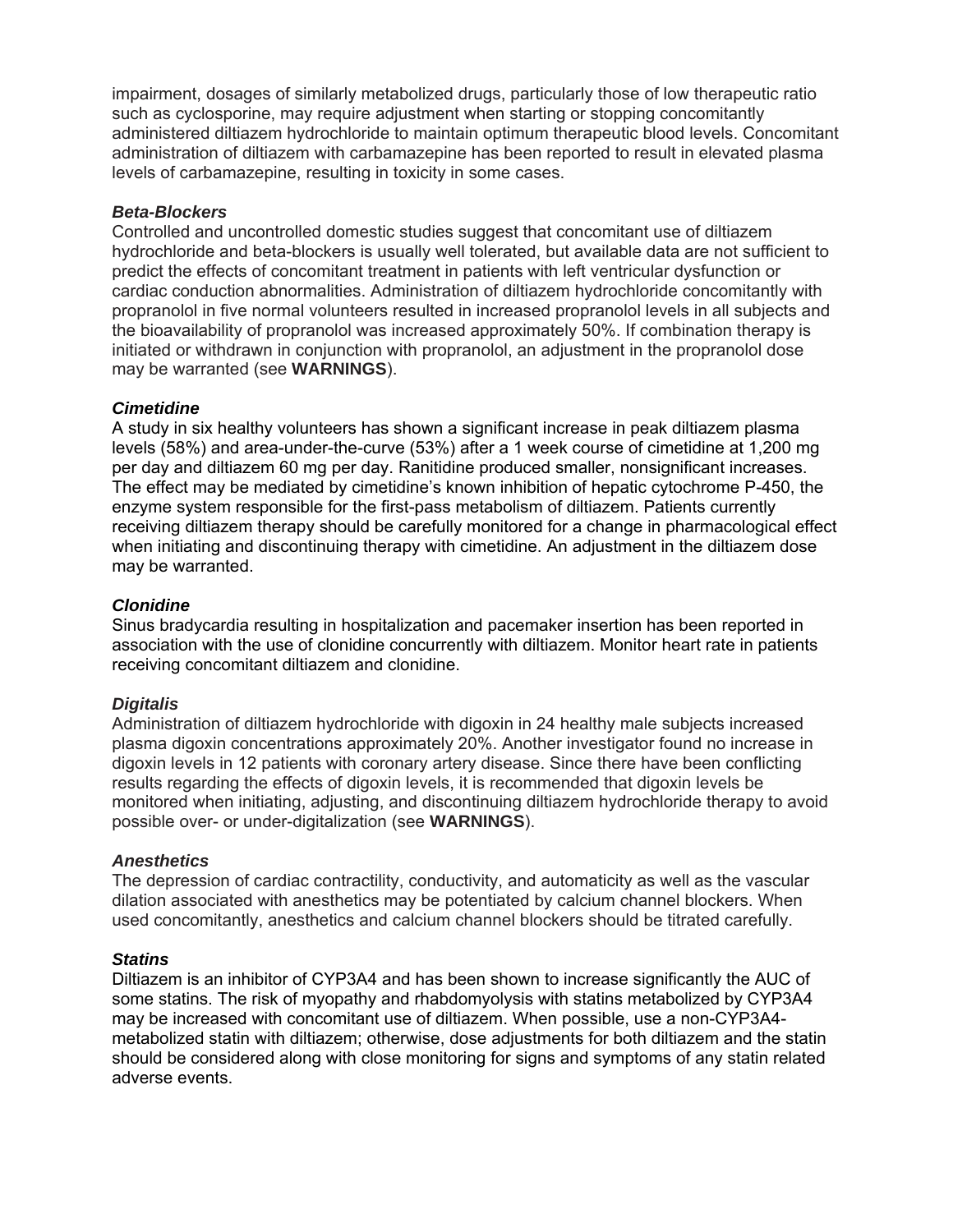impairment, dosages of similarly metabolized drugs, particularly those of low therapeutic ratio such as cyclosporine, may require adjustment when starting or stopping concomitantly administered diltiazem hydrochloride to maintain optimum therapeutic blood levels. Concomitant administration of diltiazem with carbamazepine has been reported to result in elevated plasma levels of carbamazepine, resulting in toxicity in some cases.

# *Beta-Blockers*

Controlled and uncontrolled domestic studies suggest that concomitant use of diltiazem hydrochloride and beta-blockers is usually well tolerated, but available data are not sufficient to predict the effects of concomitant treatment in patients with left ventricular dysfunction or cardiac conduction abnormalities. Administration of diltiazem hydrochloride concomitantly with propranolol in five normal volunteers resulted in increased propranolol levels in all subjects and the bioavailability of propranolol was increased approximately 50%. If combination therapy is initiated or withdrawn in conjunction with propranolol, an adjustment in the propranolol dose may be warranted (see **WARNINGS**).

# *Cimetidine*

A study in six healthy volunteers has shown a significant increase in peak diltiazem plasma levels (58%) and area-under-the-curve (53%) after a 1 week course of cimetidine at 1,200 mg per day and diltiazem 60 mg per day. Ranitidine produced smaller, nonsignificant increases. The effect may be mediated by cimetidine's known inhibition of hepatic cytochrome P-450, the enzyme system responsible for the first-pass metabolism of diltiazem. Patients currently receiving diltiazem therapy should be carefully monitored for a change in pharmacological effect when initiating and discontinuing therapy with cimetidine. An adjustment in the diltiazem dose may be warranted.

# *Clonidine*

Sinus bradycardia resulting in hospitalization and pacemaker insertion has been reported in association with the use of clonidine concurrently with diltiazem. Monitor heart rate in patients receiving concomitant diltiazem and clonidine.

### *Digitalis*

Administration of diltiazem hydrochloride with digoxin in 24 healthy male subjects increased plasma digoxin concentrations approximately 20%. Another investigator found no increase in digoxin levels in 12 patients with coronary artery disease. Since there have been conflicting results regarding the effects of digoxin levels, it is recommended that digoxin levels be monitored when initiating, adjusting, and discontinuing diltiazem hydrochloride therapy to avoid possible over- or under-digitalization (see **WARNINGS**).

### *Anesthetics*

The depression of cardiac contractility, conductivity, and automaticity as well as the vascular dilation associated with anesthetics may be potentiated by calcium channel blockers. When used concomitantly, anesthetics and calcium channel blockers should be titrated carefully.

### *Statins*

Diltiazem is an inhibitor of CYP3A4 and has been shown to increase significantly the AUC of some statins. The risk of myopathy and rhabdomyolysis with statins metabolized by CYP3A4 may be increased with concomitant use of diltiazem. When possible, use a non-CYP3A4 metabolized statin with diltiazem; otherwise, dose adjustments for both diltiazem and the statin should be considered along with close monitoring for signs and symptoms of any statin related adverse events.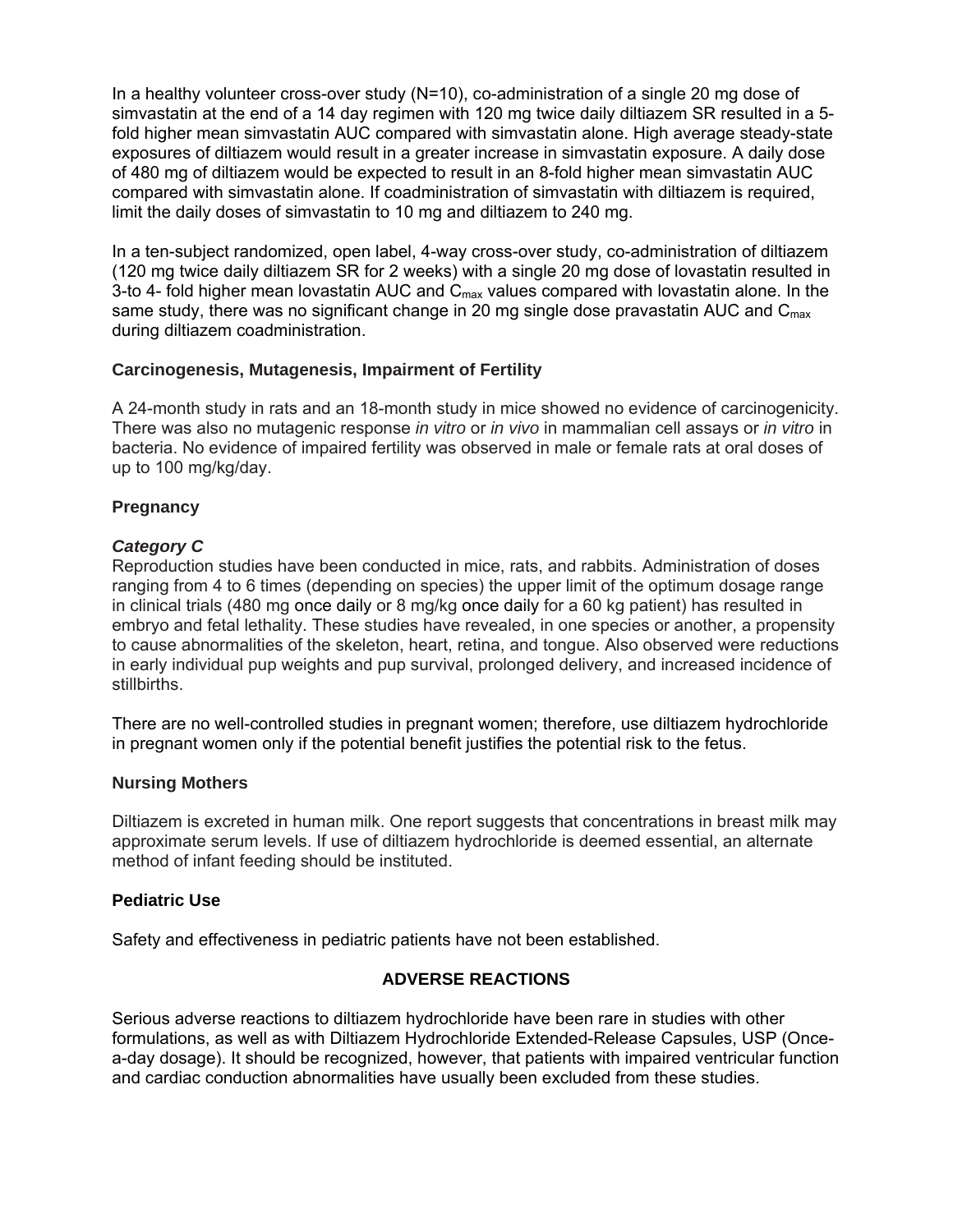In a healthy volunteer cross-over study (N=10), co-administration of a single 20 mg dose of simvastatin at the end of a 14 day regimen with 120 mg twice daily diltiazem SR resulted in a 5 fold higher mean simvastatin AUC compared with simvastatin alone. High average steady-state exposures of diltiazem would result in a greater increase in simvastatin exposure. A daily dose of 480 mg of diltiazem would be expected to result in an 8-fold higher mean simvastatin AUC compared with simvastatin alone. If coadministration of simvastatin with diltiazem is required, limit the daily doses of simvastatin to 10 mg and diltiazem to 240 mg.

In a ten-subject randomized, open label, 4-way cross-over study, co-administration of diltiazem (120 mg twice daily diltiazem SR for 2 weeks) with a single 20 mg dose of lovastatin resulted in 3-to 4- fold higher mean lovastatin AUC and  $C_{\text{max}}$  values compared with lovastatin alone. In the same study, there was no significant change in 20 mg single dose pravastatin AUC and  $C_{\text{max}}$ during diltiazem coadministration.

# **Carcinogenesis, Mutagenesis, Impairment of Fertility**

A 24-month study in rats and an 18-month study in mice showed no evidence of carcinogenicity. There was also no mutagenic response *in vitro* or *in vivo* in mammalian cell assays or *in vitro* in bacteria. No evidence of impaired fertility was observed in male or female rats at oral doses of up to 100 mg/kg/day.

# **Pregnancy**

# *Category C*

Reproduction studies have been conducted in mice, rats, and rabbits. Administration of doses ranging from 4 to 6 times (depending on species) the upper limit of the optimum dosage range in clinical trials (480 mg once daily or 8 mg/kg once daily for a 60 kg patient) has resulted in embryo and fetal lethality. These studies have revealed, in one species or another, a propensity to cause abnormalities of the skeleton, heart, retina, and tongue. Also observed were reductions in early individual pup weights and pup survival, prolonged delivery, and increased incidence of stillbirths.

There are no well-controlled studies in pregnant women; therefore, use diltiazem hydrochloride in pregnant women only if the potential benefit justifies the potential risk to the fetus.

### **Nursing Mothers**

Diltiazem is excreted in human milk. One report suggests that concentrations in breast milk may approximate serum levels. If use of diltiazem hydrochloride is deemed essential, an alternate method of infant feeding should be instituted.

### **Pediatric Use**

Safety and effectiveness in pediatric patients have not been established.

# **ADVERSE REACTIONS**

Serious adverse reactions to diltiazem hydrochloride have been rare in studies with other formulations, as well as with Diltiazem Hydrochloride Extended-Release Capsules, USP (Oncea-day dosage). It should be recognized, however, that patients with impaired ventricular function and cardiac conduction abnormalities have usually been excluded from these studies.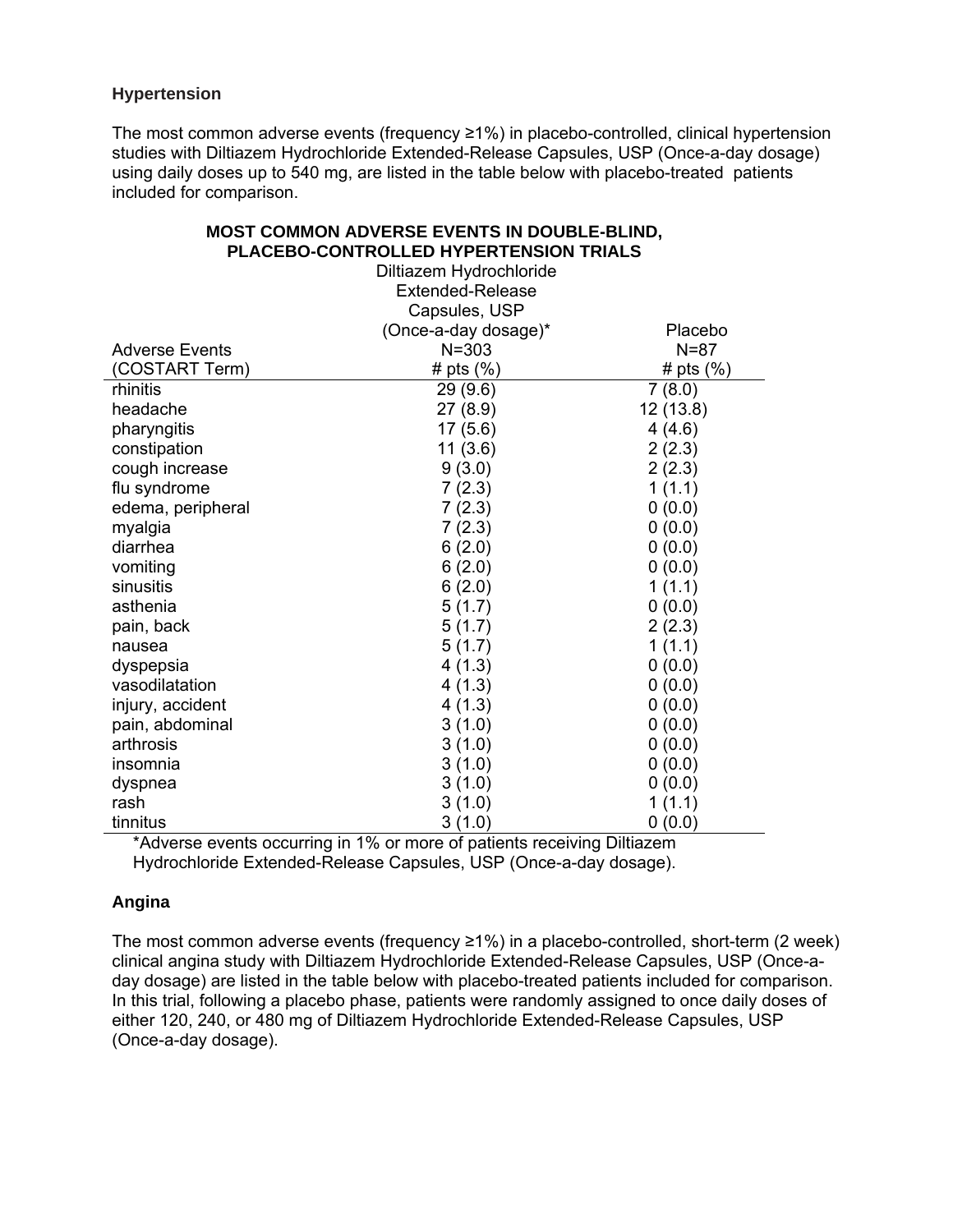# **Hypertension**

The most common adverse events (frequency ≥1%) in placebo-controlled, clinical hypertension studies with Diltiazem Hydrochloride Extended-Release Capsules, USP (Once-a-day dosage) using daily doses up to 540 mg, are listed in the table below with placebo-treated patients included for comparison.

|                       | Diltiazem Hydrochloride<br><b>Extended-Release</b> |              |  |
|-----------------------|----------------------------------------------------|--------------|--|
|                       | Capsules, USP                                      |              |  |
|                       | (Once-a-day dosage)*                               | Placebo      |  |
| <b>Adverse Events</b> | $N = 303$                                          | $N = 87$     |  |
| (COSTART Term)        | # pts $(\%)$                                       | # pts $(\%)$ |  |
| rhinitis              | 29(9.6)                                            | 7(8.0)       |  |
| headache              | 27(8.9)                                            | 12 (13.8)    |  |
| pharyngitis           | 17(5.6)                                            | 4(4.6)       |  |
| constipation          | 11(3.6)                                            | 2(2.3)       |  |
| cough increase        | 9(3.0)                                             | 2(2.3)       |  |
| flu syndrome          | 7(2.3)                                             | 1(1.1)       |  |
| edema, peripheral     | 7(2.3)                                             | 0(0.0)       |  |
| myalgia               | 7(2.3)                                             | 0(0.0)       |  |
| diarrhea              | 6(2.0)                                             | 0(0.0)       |  |
| vomiting              | 6(2.0)                                             | 0(0.0)       |  |
| sinusitis             | 6(2.0)                                             | 1(1.1)       |  |
| asthenia              | 5(1.7)                                             | 0(0.0)       |  |
| pain, back            | 5(1.7)                                             | 2(2.3)       |  |
| nausea                | 5(1.7)                                             | 1(1.1)       |  |
| dyspepsia             | 4(1.3)                                             | 0(0.0)       |  |
| vasodilatation        | 4(1.3)                                             | 0(0.0)       |  |
| injury, accident      | 4(1.3)                                             | 0(0.0)       |  |
| pain, abdominal       | 3(1.0)                                             | 0(0.0)       |  |
| arthrosis             | 3(1.0)                                             | 0(0.0)       |  |
| insomnia              | 3(1.0)                                             | 0(0.0)       |  |
| dyspnea               | 3(1.0)                                             | 0(0.0)       |  |
| rash                  | 3(1.0)                                             | 1(1.1)       |  |
| tinnitus              | 3(1.0)                                             | 0(0.0)       |  |

# **MOST COMMON ADVERSE EVENTS IN DOUBLE-BLIND, PLACEBO-CONTROLLED HYPERTENSION TRIALS**

\*Adverse events occurring in 1% or more of patients receiving Diltiazem Hydrochloride Extended-Release Capsules, USP (Once-a-day dosage).

# **Angina**

The most common adverse events (frequency ≥1%) in a placebo-controlled, short-term (2 week) clinical angina study with Diltiazem Hydrochloride Extended-Release Capsules, USP (Once-aday dosage) are listed in the table below with placebo-treated patients included for comparison. In this trial, following a placebo phase, patients were randomly assigned to once daily doses of either 120, 240, or 480 mg of Diltiazem Hydrochloride Extended-Release Capsules, USP (Once-a-day dosage).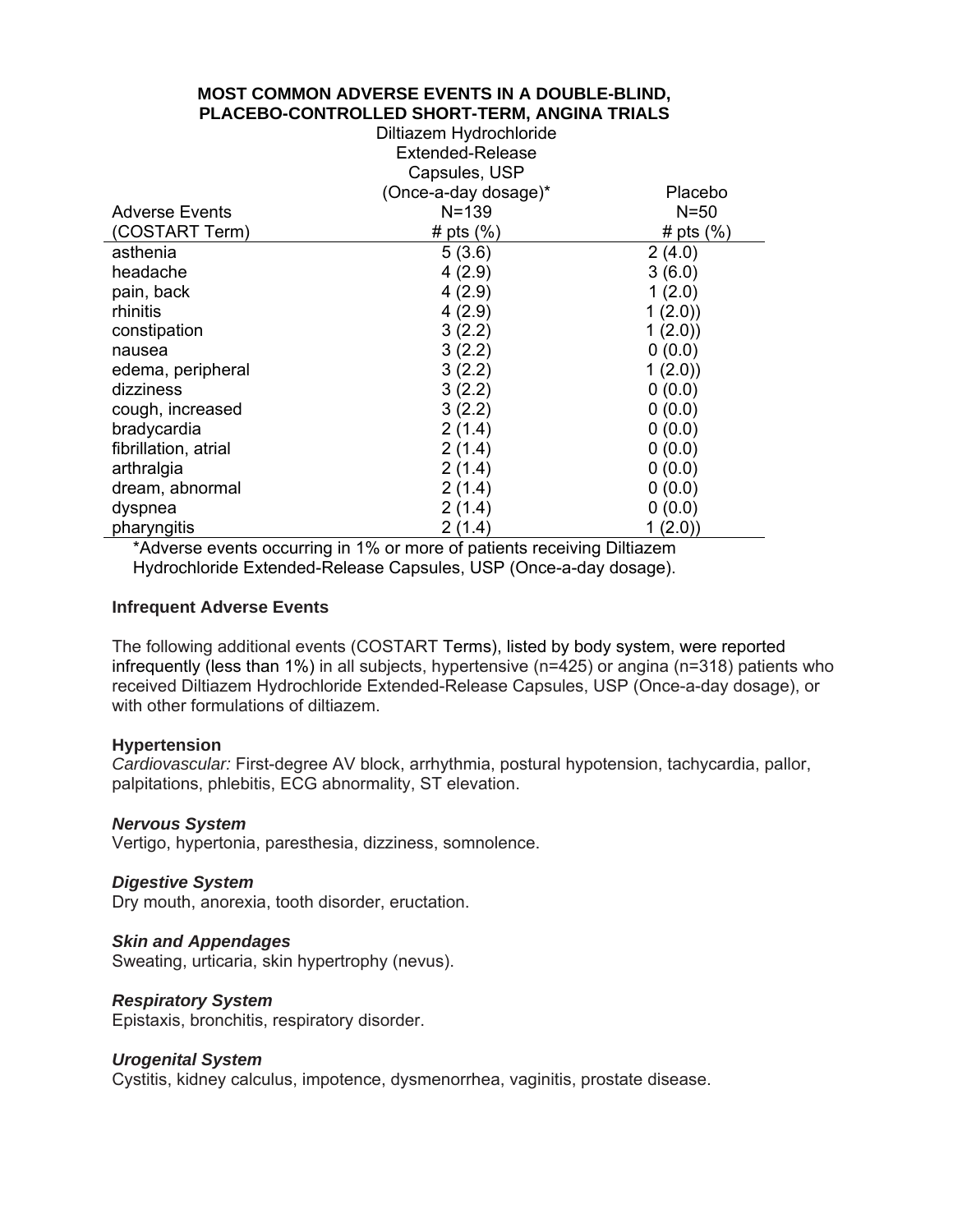# **MOST COMMON ADVERSE EVENTS IN A DOUBLE-BLIND, PLACEBO-CONTROLLED SHORT-TERM, ANGINA TRIALS**

|                       | Diltiazem Hydrochloride |               |  |  |
|-----------------------|-------------------------|---------------|--|--|
|                       | <b>Extended-Release</b> |               |  |  |
|                       | Capsules, USP           |               |  |  |
|                       | (Once-a-day dosage)*    | Placebo       |  |  |
| <b>Adverse Events</b> | $N = 139$               | $N = 50$      |  |  |
| (COSTART Term)        | # pts $(\% )$           | # pts $(\% )$ |  |  |
| asthenia              | 5(3.6)                  | 2(4.0)        |  |  |
| headache              | 4(2.9)                  | 3(6.0)        |  |  |
| pain, back            | 4(2.9)                  | 1(2.0)        |  |  |
| rhinitis              | 4(2.9)                  | 1(2.0)        |  |  |
| constipation          | 3(2.2)                  | 1(2.0)        |  |  |
| nausea                | 3(2.2)                  | 0(0.0)        |  |  |
| edema, peripheral     | 3(2.2)                  | 1(2.0)        |  |  |
| dizziness             | 3(2.2)                  | 0(0.0)        |  |  |
| cough, increased      | 3(2.2)                  | 0(0.0)        |  |  |
| bradycardia           | 2(1.4)                  | 0(0.0)        |  |  |
| fibrillation, atrial  | 2(1.4)                  | 0(0.0)        |  |  |
| arthralgia            | 2(1.4)                  | 0(0.0)        |  |  |
| dream, abnormal       | 2(1.4)                  | 0(0.0)        |  |  |
| dyspnea               | 2(1.4)                  | 0(0.0)        |  |  |
| pharyngitis           | 2(1.4)                  | 1(2.0)        |  |  |

\*Adverse events occurring in 1% or more of patients receiving Diltiazem Hydrochloride Extended-Release Capsules, USP (Once-a-day dosage).

#### **Infrequent Adverse Events**

The following additional events (COSTART Terms), listed by body system, were reported infrequently (less than 1%) in all subjects, hypertensive (n=425) or angina (n=318) patients who received Diltiazem Hydrochloride Extended-Release Capsules, USP (Once-a-day dosage), or with other formulations of diltiazem.

#### **Hypertension**

*Cardiovascular:* First-degree AV block, arrhythmia, postural hypotension, tachycardia, pallor, palpitations, phlebitis, ECG abnormality, ST elevation.

#### *Nervous System*

Vertigo, hypertonia, paresthesia, dizziness, somnolence.

#### *Digestive System*

Dry mouth, anorexia, tooth disorder, eructation.

#### *Skin and Appendages*

Sweating, urticaria, skin hypertrophy (nevus).

### *Respiratory System*

Epistaxis, bronchitis, respiratory disorder.

#### *Urogenital System*

Cystitis, kidney calculus, impotence, dysmenorrhea, vaginitis, prostate disease.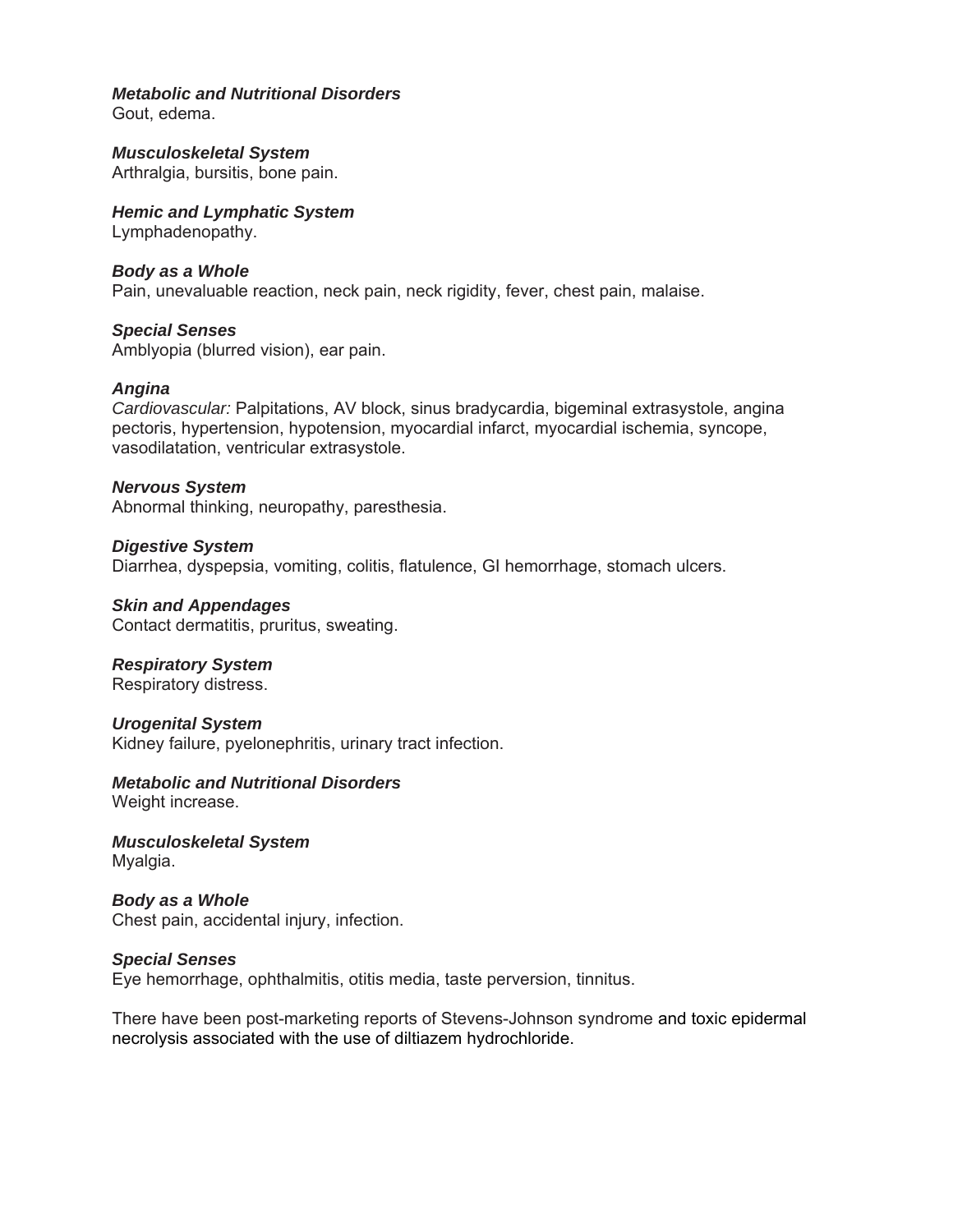# *Metabolic and Nutritional Disorders*

Gout, edema.

*Musculoskeletal System*  Arthralgia, bursitis, bone pain.

*Hemic and Lymphatic System* 

Lymphadenopathy.

# *Body as a Whole*

Pain, unevaluable reaction, neck pain, neck rigidity, fever, chest pain, malaise.

*Special Senses*  Amblyopia (blurred vision), ear pain.

### *Angina*

*Cardiovascular:* Palpitations, AV block, sinus bradycardia, bigeminal extrasystole, angina pectoris, hypertension, hypotension, myocardial infarct, myocardial ischemia, syncope, vasodilatation, ventricular extrasystole.

*Nervous System*  Abnormal thinking, neuropathy, paresthesia.

*Digestive System*  Diarrhea, dyspepsia, vomiting, colitis, flatulence, GI hemorrhage, stomach ulcers.

*Skin and Appendages*  Contact dermatitis, pruritus, sweating.

*Respiratory System*  Respiratory distress.

### *Urogenital System*

Kidney failure, pyelonephritis, urinary tract infection.

# *Metabolic and Nutritional Disorders*

Weight increase.

*Musculoskeletal System*  Myalgia.

*Body as a Whole*  Chest pain, accidental injury, infection.

### *Special Senses*

Eye hemorrhage, ophthalmitis, otitis media, taste perversion, tinnitus.

There have been post-marketing reports of Stevens-Johnson syndrome and toxic epidermal necrolysis associated with the use of diltiazem hydrochloride.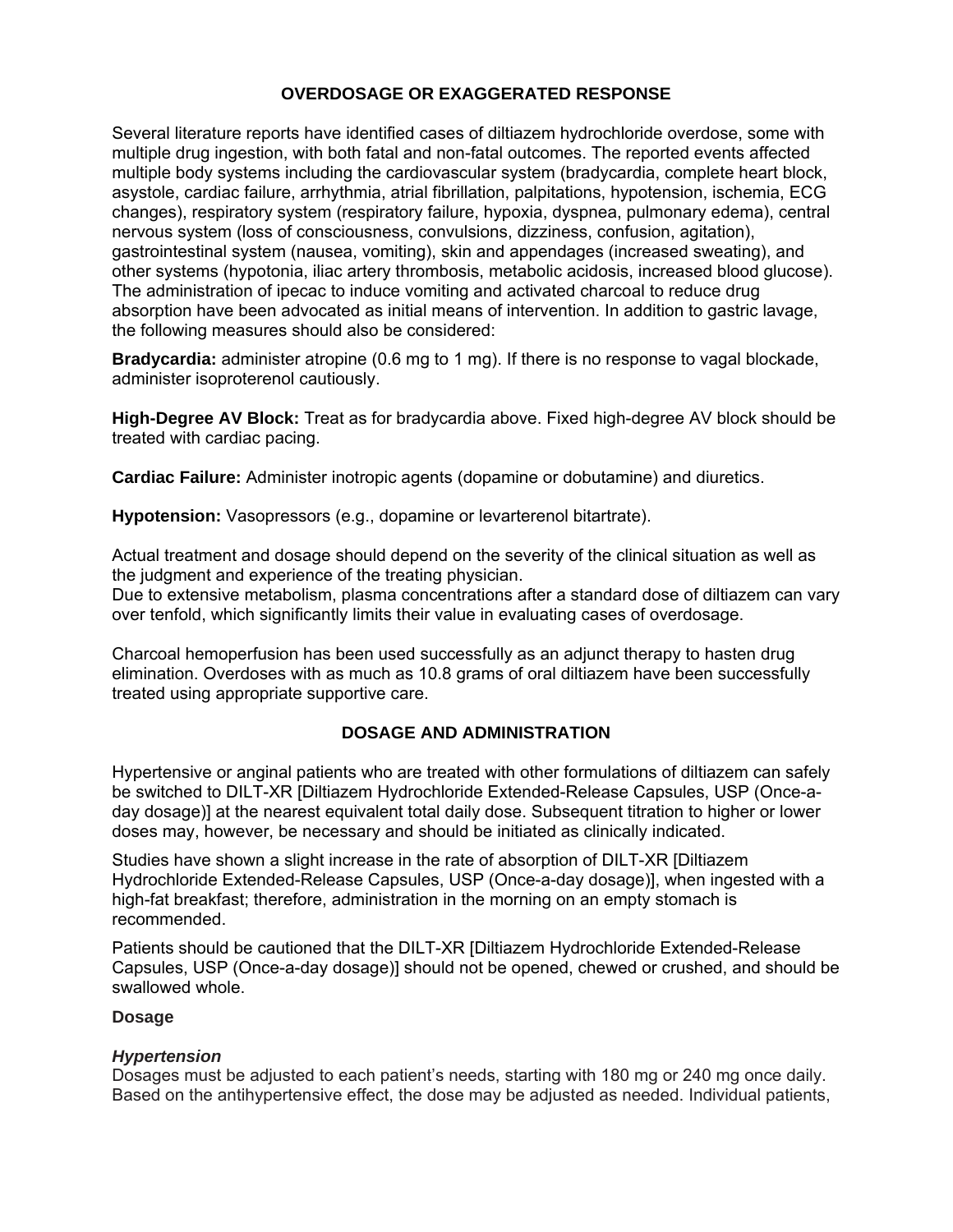# **OVERDOSAGE OR EXAGGERATED RESPONSE**

Several literature reports have identified cases of diltiazem hydrochloride overdose, some with multiple drug ingestion, with both fatal and non-fatal outcomes. The reported events affected multiple body systems including the cardiovascular system (bradycardia, complete heart block, asystole, cardiac failure, arrhythmia, atrial fibrillation, palpitations, hypotension, ischemia, ECG changes), respiratory system (respiratory failure, hypoxia, dyspnea, pulmonary edema), central nervous system (loss of consciousness, convulsions, dizziness, confusion, agitation), gastrointestinal system (nausea, vomiting), skin and appendages (increased sweating), and other systems (hypotonia, iliac artery thrombosis, metabolic acidosis, increased blood glucose). The administration of ipecac to induce vomiting and activated charcoal to reduce drug absorption have been advocated as initial means of intervention. In addition to gastric lavage, the following measures should also be considered:

**Bradycardia:** administer atropine (0.6 mg to 1 mg). If there is no response to vagal blockade, administer isoproterenol cautiously.

**High-Degree AV Block:** Treat as for bradycardia above. Fixed high-degree AV block should be treated with cardiac pacing.

**Cardiac Failure:** Administer inotropic agents (dopamine or dobutamine) and diuretics.

**Hypotension:** Vasopressors (e.g., dopamine or levarterenol bitartrate).

Actual treatment and dosage should depend on the severity of the clinical situation as well as the judgment and experience of the treating physician.

Due to extensive metabolism, plasma concentrations after a standard dose of diltiazem can vary over tenfold, which significantly limits their value in evaluating cases of overdosage.

Charcoal hemoperfusion has been used successfully as an adjunct therapy to hasten drug elimination. Overdoses with as much as 10.8 grams of oral diltiazem have been successfully treated using appropriate supportive care.

# **DOSAGE AND ADMINISTRATION**

Hypertensive or anginal patients who are treated with other formulations of diltiazem can safely be switched to DILT-XR [Diltiazem Hydrochloride Extended-Release Capsules, USP (Once-aday dosage)] at the nearest equivalent total daily dose. Subsequent titration to higher or lower doses may, however, be necessary and should be initiated as clinically indicated.

Studies have shown a slight increase in the rate of absorption of DILT-XR [Diltiazem Hydrochloride Extended-Release Capsules, USP (Once-a-day dosage)], when ingested with a high-fat breakfast; therefore, administration in the morning on an empty stomach is recommended.

Patients should be cautioned that the DILT-XR [Diltiazem Hydrochloride Extended-Release Capsules, USP (Once-a-day dosage)] should not be opened, chewed or crushed, and should be swallowed whole.

### **Dosage**

### *Hypertension*

Dosages must be adjusted to each patient's needs, starting with 180 mg or 240 mg once daily. Based on the antihypertensive effect, the dose may be adjusted as needed. Individual patients,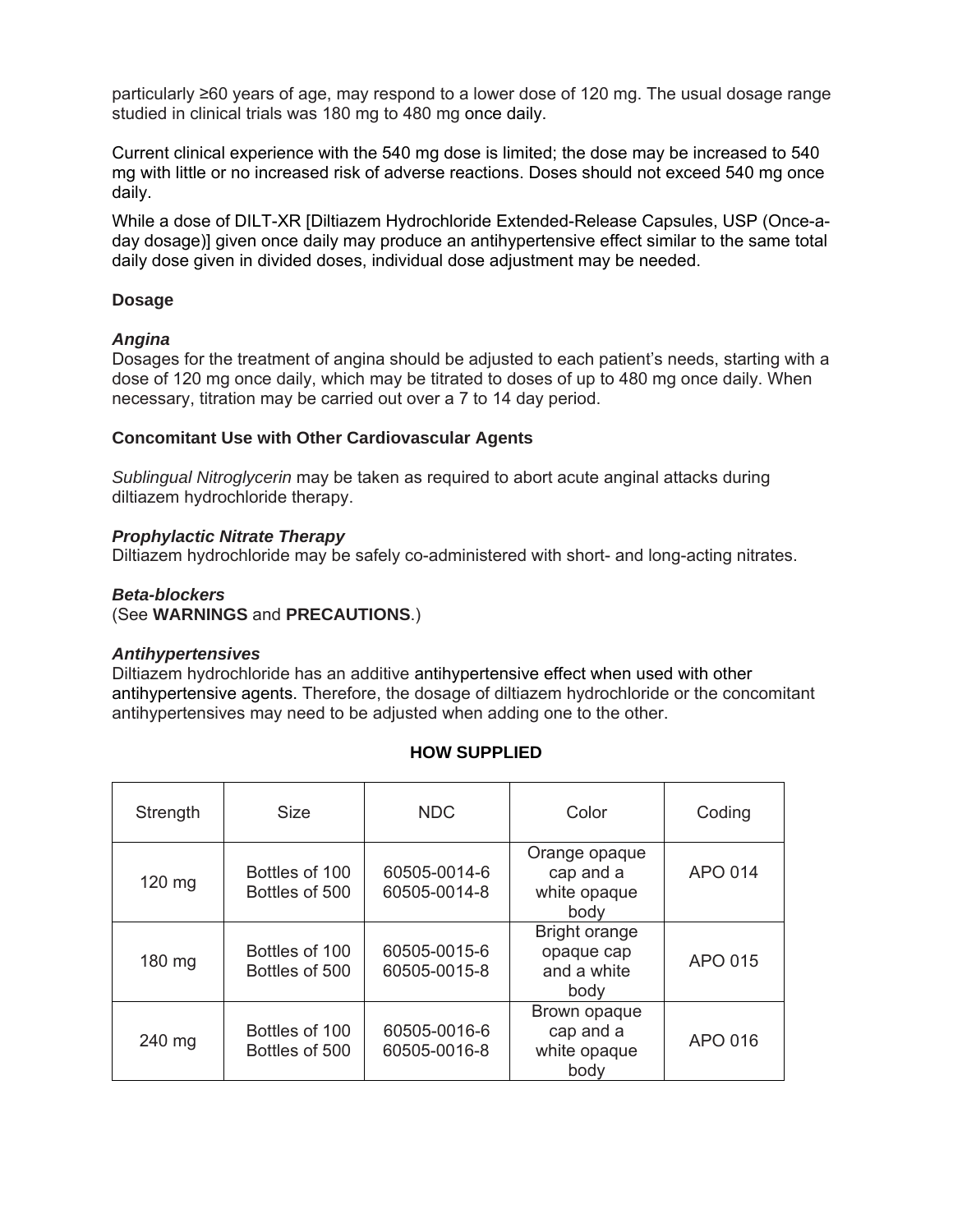particularly ≥60 years of age, may respond to a lower dose of 120 mg. The usual dosage range studied in clinical trials was 180 mg to 480 mg once daily.

Current clinical experience with the 540 mg dose is limited; the dose may be increased to 540 mg with little or no increased risk of adverse reactions. Doses should not exceed 540 mg once daily.

While a dose of DILT-XR [Diltiazem Hydrochloride Extended-Release Capsules, USP (Once-aday dosage)] given once daily may produce an antihypertensive effect similar to the same total daily dose given in divided doses, individual dose adjustment may be needed.

# **Dosage**

### *Angina*

Dosages for the treatment of angina should be adjusted to each patient's needs, starting with a dose of 120 mg once daily, which may be titrated to doses of up to 480 mg once daily. When necessary, titration may be carried out over a 7 to 14 day period.

### **Concomitant Use with Other Cardiovascular Agents**

*Sublingual Nitroglycerin* may be taken as required to abort acute anginal attacks during diltiazem hydrochloride therapy.

### *Prophylactic Nitrate Therapy*

Diltiazem hydrochloride may be safely co-administered with short- and long-acting nitrates.

### *Beta-blockers*

(See **WARNINGS** and **PRECAUTIONS**.)

### *Antihypertensives*

Diltiazem hydrochloride has an additive antihypertensive effect when used with other antihypertensive agents. Therefore, the dosage of diltiazem hydrochloride or the concomitant antihypertensives may need to be adjusted when adding one to the other.

| Strength | <b>Size</b>                      | <b>NDC</b>                   | Color                                                     | Coding  |
|----------|----------------------------------|------------------------------|-----------------------------------------------------------|---------|
| 120 mg   | Bottles of 100<br>Bottles of 500 | 60505-0014-6<br>60505-0014-8 | Orange opaque<br>cap and a<br>white opaque<br>body        | APO 014 |
| 180 mg   | Bottles of 100<br>Bottles of 500 | 60505-0015-6<br>60505-0015-8 | <b>Bright orange</b><br>opaque cap<br>and a white<br>body | APO 015 |
| 240 mg   | Bottles of 100<br>Bottles of 500 | 60505-0016-6<br>60505-0016-8 | Brown opaque<br>cap and a<br>white opaque<br>body         | APO 016 |

# **HOW SUPPLIED**